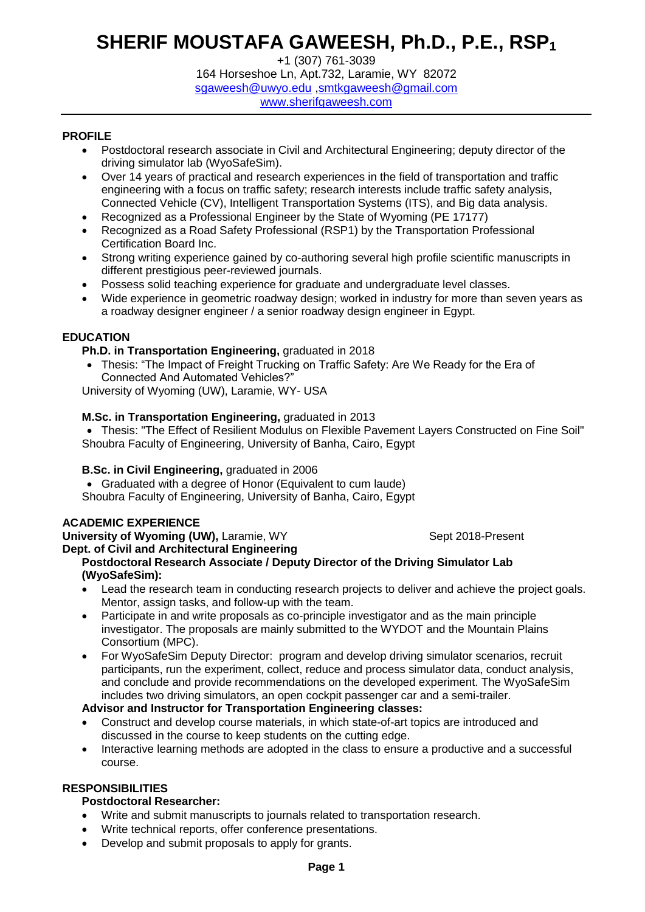# **SHERIF MOUSTAFA GAWEESH, Ph.D., P.E., RSP<sup>1</sup>**

+1 (307) 761-3039 164 Horseshoe Ln, Apt.732, Laramie, WY 82072 [sgaweesh@uwyo.edu](mailto:sgaweesh@uwyo.edu) ,smtkgaweesh@gmail.com [www.sherifgaweesh.com](http://www.sherifgaweesh.com/)

# **PROFILE**

- Postdoctoral research associate in Civil and Architectural Engineering; deputy director of the driving simulator lab (WyoSafeSim).
- Over 14 years of practical and research experiences in the field of transportation and traffic engineering with a focus on traffic safety; research interests include traffic safety analysis, Connected Vehicle (CV), Intelligent Transportation Systems (ITS), and Big data analysis.
- Recognized as a Professional Engineer by the State of Wyoming (PE 17177)
- Recognized as a Road Safety Professional (RSP1) by the Transportation Professional Certification Board Inc.
- Strong writing experience gained by co-authoring several high profile scientific manuscripts in different prestigious peer-reviewed journals.
- Possess solid teaching experience for graduate and undergraduate level classes.
- Wide experience in geometric roadway design; worked in industry for more than seven years as a roadway designer engineer / a senior roadway design engineer in Egypt.

# **EDUCATION**

# **Ph.D. in Transportation Engineering,** graduated in 2018

 Thesis: "The Impact of Freight Trucking on Traffic Safety: Are We Ready for the Era of Connected And Automated Vehicles?"

University of Wyoming (UW), Laramie, WY- USA

# **M.Sc. in Transportation Engineering,** graduated in 2013

 Thesis: "The Effect of Resilient Modulus on Flexible Pavement Layers Constructed on Fine Soil" Shoubra Faculty of Engineering, University of Banha, Cairo, Egypt

#### **B.Sc. in Civil Engineering,** graduated in 2006

Graduated with a degree of Honor (Equivalent to cum laude)

Shoubra Faculty of Engineering, University of Banha, Cairo, Egypt

### **ACADEMIC EXPERIENCE**

**University of Wyoming (UW), Laramie, WY Sept 2018-Present Communisty Communisty Communisty Communisty Communisty** 

**Dept. of Civil and Architectural Engineering**

# **Postdoctoral Research Associate / Deputy Director of the Driving Simulator Lab (WyoSafeSim):**

- Lead the research team in conducting research projects to deliver and achieve the project goals. Mentor, assign tasks, and follow-up with the team.
- Participate in and write proposals as co-principle investigator and as the main principle investigator. The proposals are mainly submitted to the WYDOT and the Mountain Plains Consortium (MPC).
- For WyoSafeSim Deputy Director: program and develop driving simulator scenarios, recruit participants, run the experiment, collect, reduce and process simulator data, conduct analysis, and conclude and provide recommendations on the developed experiment. The WyoSafeSim includes two driving simulators, an open cockpit passenger car and a semi-trailer.

# **Advisor and Instructor for Transportation Engineering classes:**

- Construct and develop course materials, in which state-of-art topics are introduced and discussed in the course to keep students on the cutting edge.
- Interactive learning methods are adopted in the class to ensure a productive and a successful course.

# **RESPONSIBILITIES**

# **Postdoctoral Researcher:**

- Write and submit manuscripts to journals related to transportation research.
- Write technical reports, offer conference presentations.
- Develop and submit proposals to apply for grants.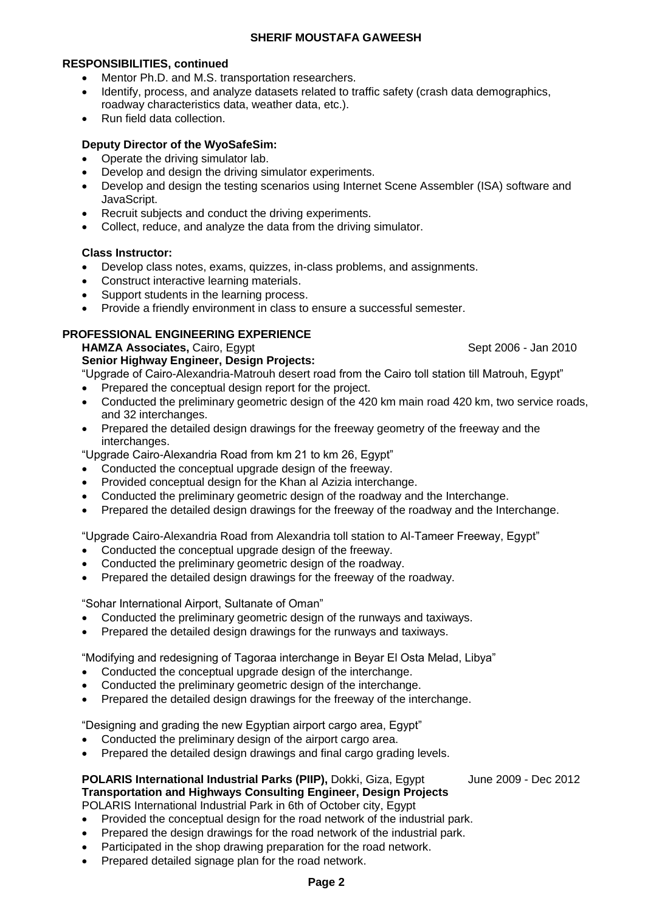# **RESPONSIBILITIES, continued**

- Mentor Ph.D. and M.S. transportation researchers.
- Identify, process, and analyze datasets related to traffic safety (crash data demographics, roadway characteristics data, weather data, etc.).
- Run field data collection.

# **Deputy Director of the WyoSafeSim:**

- Operate the driving simulator lab.
- Develop and design the driving simulator experiments.
- Develop and design the testing scenarios using Internet Scene Assembler (ISA) software and JavaScript.
- Recruit subjects and conduct the driving experiments.
- Collect, reduce, and analyze the data from the driving simulator.

# **Class Instructor:**

- Develop class notes, exams, quizzes, in-class problems, and assignments.
- Construct interactive learning materials.
- Support students in the learning process.
- Provide a friendly environment in class to ensure a successful semester.

# **PROFESSIONAL ENGINEERING EXPERIENCE**

**HAMZA Associates, Cairo, Egypt Sept 2006 - Jan 2010** 

**Senior Highway Engineer, Design Projects:** "Upgrade of Cairo-Alexandria-Matrouh desert road from the Cairo toll station till Matrouh, Egypt"

- Prepared the conceptual design report for the project.
- Conducted the preliminary geometric design of the 420 km main road 420 km, two service roads, and 32 interchanges.
- Prepared the detailed design drawings for the freeway geometry of the freeway and the interchanges.

"Upgrade Cairo-Alexandria Road from km 21 to km 26, Egypt"

- Conducted the conceptual upgrade design of the freeway.
- Provided conceptual design for the Khan al Azizia interchange.
- Conducted the preliminary geometric design of the roadway and the Interchange.
- Prepared the detailed design drawings for the freeway of the roadway and the Interchange.

"Upgrade Cairo-Alexandria Road from Alexandria toll station to Al-Tameer Freeway, Egypt"

- Conducted the conceptual upgrade design of the freeway.
- Conducted the preliminary geometric design of the roadway.
- Prepared the detailed design drawings for the freeway of the roadway.

"Sohar International Airport, Sultanate of Oman"

- Conducted the preliminary geometric design of the runways and taxiways.
- Prepared the detailed design drawings for the runways and taxiways.

"Modifying and redesigning of Tagoraa interchange in Beyar El Osta Melad, Libya"

- Conducted the conceptual upgrade design of the interchange.
- Conducted the preliminary geometric design of the interchange.
- Prepared the detailed design drawings for the freeway of the interchange.

"Designing and grading the new Egyptian airport cargo area, Egypt"

- Conducted the preliminary design of the airport cargo area.
- Prepared the detailed design drawings and final cargo grading levels.

# **POLARIS International Industrial Parks (PIIP), Dokki, Giza, Egypt June 2009 - Dec 2012 Transportation and Highways Consulting Engineer, Design Projects**

POLARIS International Industrial Park in 6th of October city, Egypt

- Provided the conceptual design for the road network of the industrial park.
- Prepared the design drawings for the road network of the industrial park.
- Participated in the shop drawing preparation for the road network.
- Prepared detailed signage plan for the road network.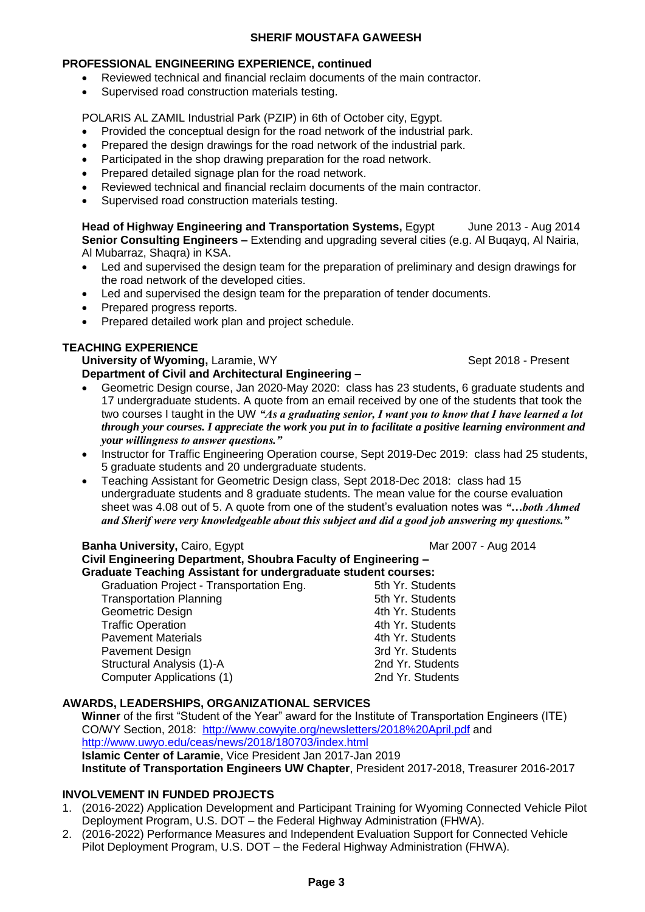### **PROFESSIONAL ENGINEERING EXPERIENCE, continued**

- Reviewed technical and financial reclaim documents of the main contractor.
- Supervised road construction materials testing.

POLARIS AL ZAMIL Industrial Park (PZIP) in 6th of October city, Egypt.

- Provided the conceptual design for the road network of the industrial park.
- Prepared the design drawings for the road network of the industrial park.
- Participated in the shop drawing preparation for the road network.
- Prepared detailed signage plan for the road network.
- Reviewed technical and financial reclaim documents of the main contractor.
- Supervised road construction materials testing.

**Head of Highway Engineering and Transportation Systems,** Egypt June 2013 - Aug 2014 **Senior Consulting Engineers –** Extending and upgrading several cities (e.g. Al Buqayq, Al Nairia, Al Mubarraz, Shaqra) in KSA.

- Led and supervised the design team for the preparation of preliminary and design drawings for the road network of the developed cities.
- Led and supervised the design team for the preparation of tender documents.
- Prepared progress reports.
- Prepared detailed work plan and project schedule.

# **TEACHING EXPERIENCE**

**University of Wyoming, Laramie, WY Sept 2018 - Present** 

# **Department of Civil and Architectural Engineering –**

- Geometric Design course, Jan 2020-May 2020: class has 23 students, 6 graduate students and 17 undergraduate students. A quote from an email received by one of the students that took the two courses I taught in the UW *"As a graduating senior, I want you to know that I have learned a lot through your courses. I appreciate the work you put in to facilitate a positive learning environment and your willingness to answer questions."*
- Instructor for Traffic Engineering Operation course, Sept 2019-Dec 2019: class had 25 students, 5 graduate students and 20 undergraduate students.
- Teaching Assistant for Geometric Design class, Sept 2018-Dec 2018: class had 15 undergraduate students and 8 graduate students. The mean value for the course evaluation sheet was 4.08 out of 5. A quote from one of the student's evaluation notes was *"…both Ahmed and Sherif were very knowledgeable about this subject and did a good job answering my questions."*

#### **Banha University, Cairo, Egypt Marrow Communist Communist Communist Communist Communist Communist Communist Communist Communist Communist Communist Communist Communist Communist Communist Communist Communist Communist Com Civil Engineering Department, Shoubra Faculty of Engineering – Graduate Teaching Assistant for undergraduate student courses:**

| Graduation Project - Transportation Eng. | 5th Yr. Students |
|------------------------------------------|------------------|
| <b>Transportation Planning</b>           | 5th Yr. Students |
| Geometric Design                         | 4th Yr. Students |
| <b>Traffic Operation</b>                 | 4th Yr. Students |
| <b>Pavement Materials</b>                | 4th Yr. Students |
| <b>Pavement Design</b>                   | 3rd Yr. Students |
| Structural Analysis (1)-A                | 2nd Yr. Students |
| Computer Applications (1)                | 2nd Yr. Students |

#### **AWARDS, LEADERSHIPS, ORGANIZATIONAL SERVICES**

**Winner** of the first "Student of the Year" award for the Institute of Transportation Engineers (ITE) CO/WY Section, 2018: <http://www.cowyite.org/newsletters/2018%20April.pdf> and <http://www.uwyo.edu/ceas/news/2018/180703/index.html> **Islamic Center of Laramie**, Vice President Jan 2017-Jan 2019 **Institute of Transportation Engineers UW Chapter**, President 2017-2018, Treasurer 2016-2017

#### **INVOLVEMENT IN FUNDED PROJECTS**

- 1. (2016-2022) Application Development and Participant Training for Wyoming Connected Vehicle Pilot Deployment Program, U.S. DOT – the Federal Highway Administration (FHWA).
- 2. (2016-2022) Performance Measures and Independent Evaluation Support for Connected Vehicle Pilot Deployment Program, U.S. DOT – the Federal Highway Administration (FHWA).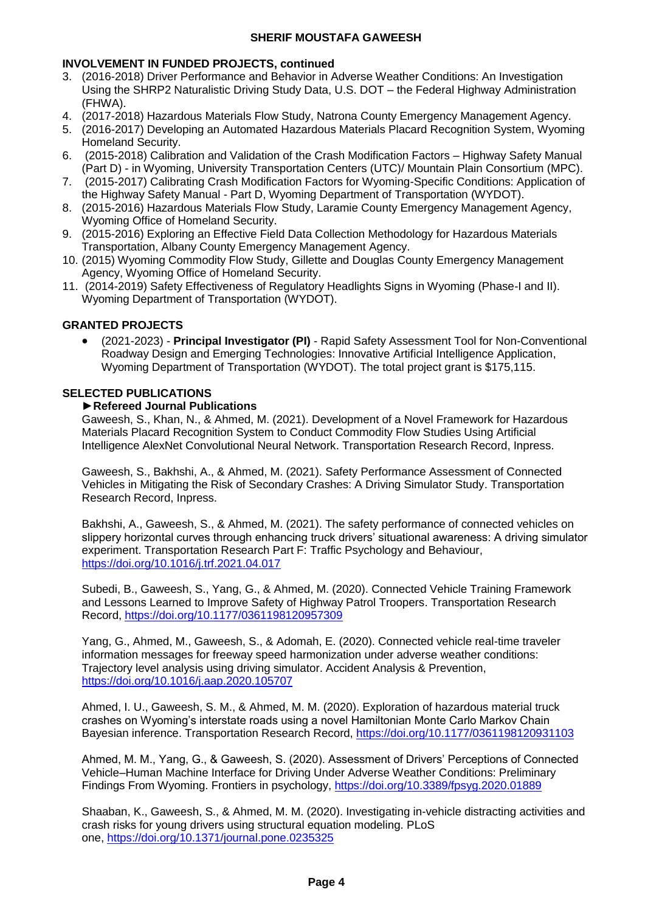# **INVOLVEMENT IN FUNDED PROJECTS, continued**

- 3. (2016-2018) Driver Performance and Behavior in Adverse Weather Conditions: An Investigation Using the SHRP2 Naturalistic Driving Study Data, U.S. DOT – the Federal Highway Administration (FHWA).
- 4. (2017-2018) Hazardous Materials Flow Study, Natrona County Emergency Management Agency.
- 5. (2016-2017) Developing an Automated Hazardous Materials Placard Recognition System, Wyoming Homeland Security.
- 6. (2015-2018) Calibration and Validation of the Crash Modification Factors Highway Safety Manual (Part D) - in Wyoming, University Transportation Centers (UTC)/ Mountain Plain Consortium (MPC).
- 7. (2015-2017) Calibrating Crash Modification Factors for Wyoming-Specific Conditions: Application of the Highway Safety Manual - Part D, Wyoming Department of Transportation (WYDOT).
- 8. (2015-2016) Hazardous Materials Flow Study, Laramie County Emergency Management Agency, Wyoming Office of Homeland Security.
- 9. (2015-2016) Exploring an Effective Field Data Collection Methodology for Hazardous Materials Transportation, Albany County Emergency Management Agency.
- 10. (2015) Wyoming Commodity Flow Study, Gillette and Douglas County Emergency Management Agency, Wyoming Office of Homeland Security.
- 11. (2014-2019) Safety Effectiveness of Regulatory Headlights Signs in Wyoming (Phase-I and II). Wyoming Department of Transportation (WYDOT).

# **GRANTED PROJECTS**

 (2021-2023) - **Principal Investigator (PI)** - Rapid Safety Assessment Tool for Non-Conventional Roadway Design and Emerging Technologies: Innovative Artificial Intelligence Application, Wyoming Department of Transportation (WYDOT). The total project grant is \$175,115.

# **SELECTED PUBLICATIONS**

#### **►Refereed Journal Publications**

Gaweesh, S., Khan, N., & Ahmed, M. (2021). Development of a Novel Framework for Hazardous Materials Placard Recognition System to Conduct Commodity Flow Studies Using Artificial Intelligence AlexNet Convolutional Neural Network. Transportation Research Record, Inpress.

Gaweesh, S., Bakhshi, A., & Ahmed, M. (2021). Safety Performance Assessment of Connected Vehicles in Mitigating the Risk of Secondary Crashes: A Driving Simulator Study. Transportation Research Record, Inpress.

Bakhshi, A., Gaweesh, S., & Ahmed, M. (2021). The safety performance of connected vehicles on slippery horizontal curves through enhancing truck drivers' situational awareness: A driving simulator experiment. Transportation Research Part F: Traffic Psychology and Behaviour, <https://doi.org/10.1016/j.trf.2021.04.017>

Subedi, B., Gaweesh, S., Yang, G., & Ahmed, M. (2020). Connected Vehicle Training Framework and Lessons Learned to Improve Safety of Highway Patrol Troopers. Transportation Research Record, <https://doi.org/10.1177/0361198120957309>

Yang, G., Ahmed, M., Gaweesh, S., & Adomah, E. (2020). Connected vehicle real-time traveler information messages for freeway speed harmonization under adverse weather conditions: Trajectory level analysis using driving simulator. Accident Analysis & Prevention, <https://doi.org/10.1016/j.aap.2020.105707>

Ahmed, I. U., Gaweesh, S. M., & Ahmed, M. M. (2020). Exploration of hazardous material truck crashes on Wyoming's interstate roads using a novel Hamiltonian Monte Carlo Markov Chain Bayesian inference. Transportation Research Record, [https://doi.org/10.1177/0361198120931103](https://doi.org/10.1177%2F0361198120931103)

Ahmed, M. M., Yang, G., & Gaweesh, S. (2020). Assessment of Drivers' Perceptions of Connected Vehicle–Human Machine Interface for Driving Under Adverse Weather Conditions: Preliminary Findings From Wyoming. Frontiers in psychology,<https://doi.org/10.3389/fpsyg.2020.01889>

Shaaban, K., Gaweesh, S., & Ahmed, M. M. (2020). Investigating in-vehicle distracting activities and crash risks for young drivers using structural equation modeling. PLoS one, <https://doi.org/10.1371/journal.pone.0235325>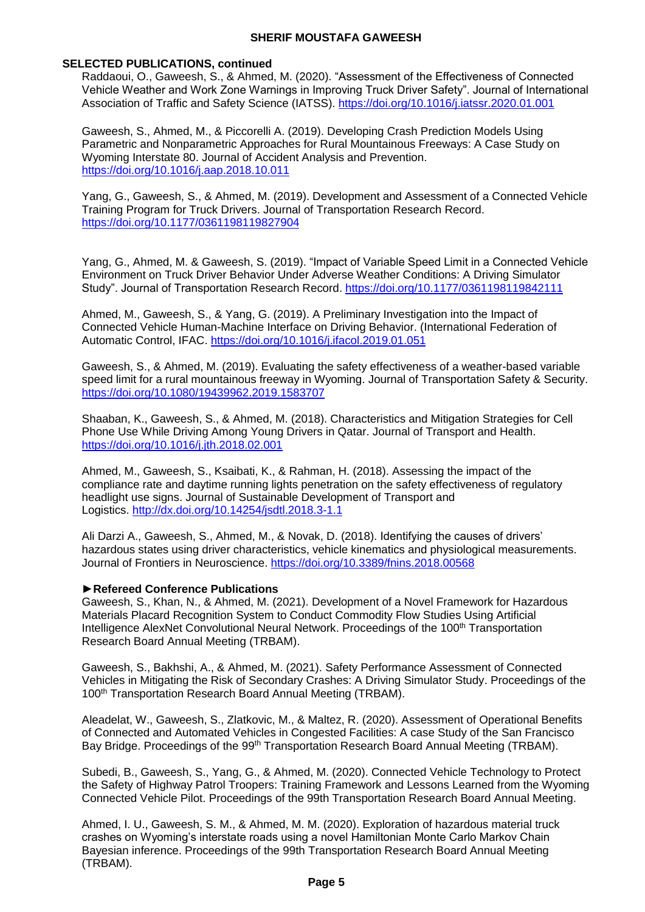#### **SELECTED PUBLICATIONS, continued**

Raddaoui, O., Gaweesh, S., & Ahmed, M. (2020). "Assessment of the Effectiveness of Connected Vehicle Weather and Work Zone Warnings in Improving Truck Driver Safety". Journal of International Association of Traffic and Safety Science (IATSS).<https://doi.org/10.1016/j.iatssr.2020.01.001>

Gaweesh, S., Ahmed, M., & Piccorelli A. (2019). Developing Crash Prediction Models Using Parametric and Nonparametric Approaches for Rural Mountainous Freeways: A Case Study on Wyoming Interstate 80. Journal of Accident Analysis and Prevention. <https://doi.org/10.1016/j.aap.2018.10.011>

Yang, G., Gaweesh, S., & Ahmed, M. (2019). Development and Assessment of a Connected Vehicle Training Program for Truck Drivers. Journal of Transportation Research Record. [https://doi.org/10.1177/0361198119827904](https://doi.org/10.1177%2F0361198119827904)

Yang, G., Ahmed, M. & Gaweesh, S. (2019). "Impact of Variable Speed Limit in a Connected Vehicle Environment on Truck Driver Behavior Under Adverse Weather Conditions: A Driving Simulator Study". Journal of Transportation Research Record. [https://doi.org/10.1177/0361198119842111](https://doi.org/10.1177%2F0361198119842111)

Ahmed, M., Gaweesh, S., & Yang, G. (2019). A Preliminary Investigation into the Impact of Connected Vehicle Human-Machine Interface on Driving Behavior. (International Federation of Automatic Control, IFAC. https://doi.org/10.1016/j.ifacol.2019.01.051

Gaweesh, S., & Ahmed, M. (2019). Evaluating the safety effectiveness of a weather-based variable speed limit for a rural mountainous freeway in Wyoming. Journal of Transportation Safety & Security. <https://doi.org/10.1080/19439962.2019.1583707>

Shaaban, K., Gaweesh, S., & Ahmed, M. (2018). Characteristics and Mitigation Strategies for Cell Phone Use While Driving Among Young Drivers in Qatar. Journal of Transport and Health. <https://doi.org/10.1016/j.jth.2018.02.001>

Ahmed, M., Gaweesh, S., Ksaibati, K., & Rahman, H. (2018). [Assessing the impact of the](http://jsdtl.sciview.net/index.php/jsdtl/article/view/46)  [compliance rate and daytime running lights penetration on the safety effectiveness of regulatory](http://jsdtl.sciview.net/index.php/jsdtl/article/view/46)  [headlight use signs.](http://jsdtl.sciview.net/index.php/jsdtl/article/view/46) Journal of Sustainable Development of Transport and Logistics. <http://dx.doi.org/10.14254/jsdtl.2018.3-1.1>

Ali Darzi A., Gaweesh, S., Ahmed, M., & Novak, D. (2018). Identifying the causes of drivers' hazardous states using driver characteristics, vehicle kinematics and physiological measurements. Journal of Frontiers in Neuroscience. <https://doi.org/10.3389/fnins.2018.00568>

#### **►Refereed Conference Publications**

Gaweesh, S., Khan, N., & Ahmed, M. (2021). Development of a Novel Framework for Hazardous Materials Placard Recognition System to Conduct Commodity Flow Studies Using Artificial Intelligence AlexNet Convolutional Neural Network. Proceedings of the 100<sup>th</sup> Transportation Research Board Annual Meeting (TRBAM).

Gaweesh, S., Bakhshi, A., & Ahmed, M. (2021). Safety Performance Assessment of Connected Vehicles in Mitigating the Risk of Secondary Crashes: A Driving Simulator Study. Proceedings of the 100<sup>th</sup> Transportation Research Board Annual Meeting (TRBAM).

Aleadelat, W., Gaweesh, S., Zlatkovic, M., & Maltez, R. (2020). Assessment of Operational Benefits of Connected and Automated Vehicles in Congested Facilities: A case Study of the San Francisco Bay Bridge. Proceedings of the 99<sup>th</sup> Transportation Research Board Annual Meeting (TRBAM).

Subedi, B., Gaweesh, S., Yang, G., & Ahmed, M. (2020). Connected Vehicle Technology to Protect the Safety of Highway Patrol Troopers: Training Framework and Lessons Learned from the Wyoming Connected Vehicle Pilot. Proceedings of the 99th Transportation Research Board Annual Meeting.

Ahmed, I. U., Gaweesh, S. M., & Ahmed, M. M. (2020). Exploration of hazardous material truck crashes on Wyoming's interstate roads using a novel Hamiltonian Monte Carlo Markov Chain Bayesian inference. Proceedings of the 99th Transportation Research Board Annual Meeting (TRBAM).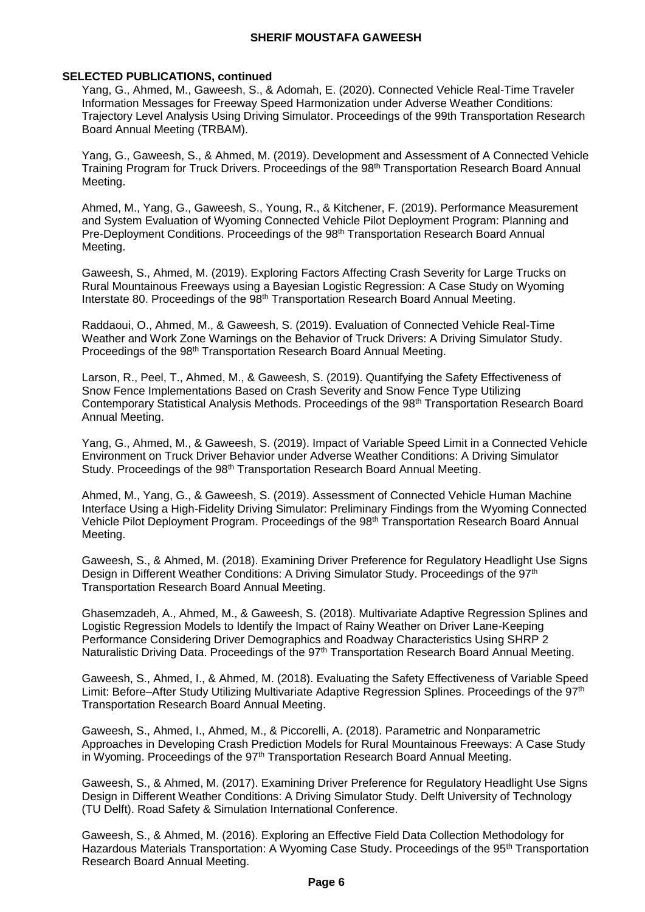#### **SELECTED PUBLICATIONS, continued**

Yang, G., Ahmed, M., Gaweesh, S., & Adomah, E. (2020). Connected Vehicle Real-Time Traveler Information Messages for Freeway Speed Harmonization under Adverse Weather Conditions: Trajectory Level Analysis Using Driving Simulator. Proceedings of the 99th Transportation Research Board Annual Meeting (TRBAM).

Yang, G., Gaweesh, S., & Ahmed, M. (2019). Development and Assessment of A Connected Vehicle Training Program for Truck Drivers. Proceedings of the 98<sup>th</sup> Transportation Research Board Annual Meeting.

Ahmed, M., Yang, G., Gaweesh, S., Young, R., & Kitchener, F. (2019). Performance Measurement and System Evaluation of Wyoming Connected Vehicle Pilot Deployment Program: Planning and Pre-Deployment Conditions. Proceedings of the 98<sup>th</sup> Transportation Research Board Annual Meeting.

Gaweesh, S., Ahmed, M. (2019). Exploring Factors Affecting Crash Severity for Large Trucks on Rural Mountainous Freeways using a Bayesian Logistic Regression: A Case Study on Wyoming Interstate 80. Proceedings of the 98<sup>th</sup> Transportation Research Board Annual Meeting.

Raddaoui, O., Ahmed, M., & Gaweesh, S. (2019). Evaluation of Connected Vehicle Real-Time Weather and Work Zone Warnings on the Behavior of Truck Drivers: A Driving Simulator Study. Proceedings of the 98<sup>th</sup> Transportation Research Board Annual Meeting.

Larson, R., Peel, T., Ahmed, M., & Gaweesh, S. (2019). Quantifying the Safety Effectiveness of Snow Fence Implementations Based on Crash Severity and Snow Fence Type Utilizing Contemporary Statistical Analysis Methods. Proceedings of the 98th Transportation Research Board Annual Meeting.

Yang, G., Ahmed, M., & Gaweesh, S. (2019). Impact of Variable Speed Limit in a Connected Vehicle Environment on Truck Driver Behavior under Adverse Weather Conditions: A Driving Simulator Study. Proceedings of the 98<sup>th</sup> Transportation Research Board Annual Meeting.

Ahmed, M., Yang, G., & Gaweesh, S. (2019). Assessment of Connected Vehicle Human Machine Interface Using a High-Fidelity Driving Simulator: Preliminary Findings from the Wyoming Connected Vehicle Pilot Deployment Program. Proceedings of the 98<sup>th</sup> Transportation Research Board Annual Meeting.

Gaweesh, S., & Ahmed, M. (2018). Examining Driver Preference for Regulatory Headlight Use Signs Design in Different Weather Conditions: A Driving Simulator Study. Proceedings of the 97<sup>th</sup> Transportation Research Board Annual Meeting.

Ghasemzadeh, A., Ahmed, M., & Gaweesh, S. (2018). Multivariate Adaptive Regression Splines and Logistic Regression Models to Identify the Impact of Rainy Weather on Driver Lane-Keeping Performance Considering Driver Demographics and Roadway Characteristics Using SHRP 2 Naturalistic Driving Data. Proceedings of the 97<sup>th</sup> Transportation Research Board Annual Meeting.

Gaweesh, S., Ahmed, I., & Ahmed, M. (2018). Evaluating the Safety Effectiveness of Variable Speed Limit: Before–After Study Utilizing Multivariate Adaptive Regression Splines. Proceedings of the 97<sup>th</sup> Transportation Research Board Annual Meeting.

Gaweesh, S., Ahmed, I., Ahmed, M., & Piccorelli, A. (2018). Parametric and Nonparametric Approaches in Developing Crash Prediction Models for Rural Mountainous Freeways: A Case Study in Wyoming. Proceedings of the 97<sup>th</sup> Transportation Research Board Annual Meeting.

Gaweesh, S., & Ahmed, M. (2017). Examining Driver Preference for Regulatory Headlight Use Signs Design in Different Weather Conditions: A Driving Simulator Study. Delft University of Technology (TU Delft). Road Safety & Simulation International Conference.

Gaweesh, S., & Ahmed, M. (2016). Exploring an Effective Field Data Collection Methodology for Hazardous Materials Transportation: A Wyoming Case Study. Proceedings of the 95<sup>th</sup> Transportation Research Board Annual Meeting.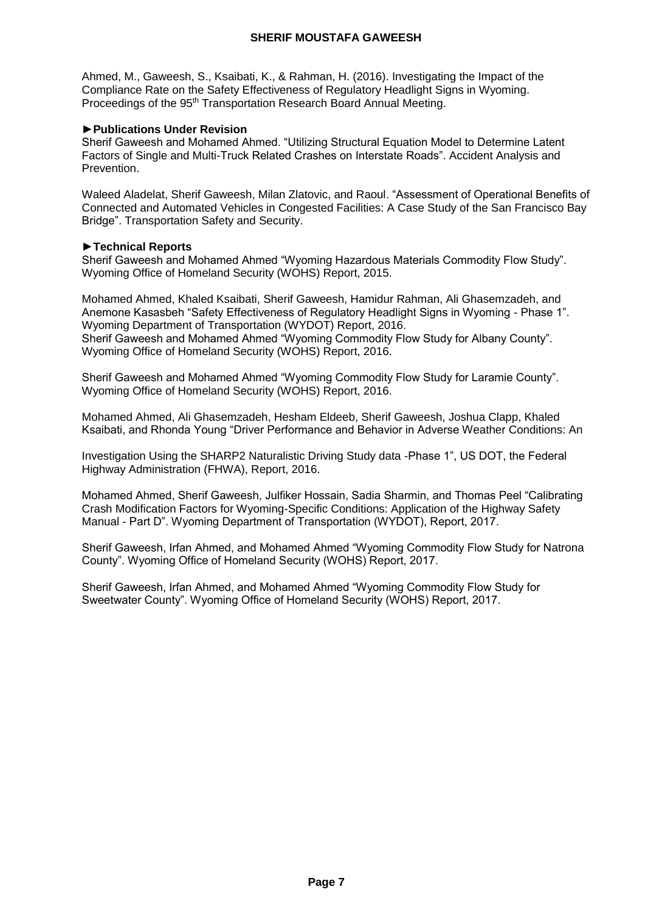Ahmed, M., Gaweesh, S., Ksaibati, K., & Rahman, H. (2016). Investigating the Impact of the Compliance Rate on the Safety Effectiveness of Regulatory Headlight Signs in Wyoming. Proceedings of the 95<sup>th</sup> Transportation Research Board Annual Meeting.

# **►Publications Under Revision**

Sherif Gaweesh and Mohamed Ahmed. "Utilizing Structural Equation Model to Determine Latent Factors of Single and Multi-Truck Related Crashes on Interstate Roads". Accident Analysis and **Prevention** 

Waleed Aladelat, Sherif Gaweesh, Milan Zlatovic, and Raoul. "Assessment of Operational Benefits of Connected and Automated Vehicles in Congested Facilities: A Case Study of the San Francisco Bay Bridge". Transportation Safety and Security.

# **►Technical Reports**

Sherif Gaweesh and Mohamed Ahmed "Wyoming Hazardous Materials Commodity Flow Study". Wyoming Office of Homeland Security (WOHS) Report, 2015.

Mohamed Ahmed, Khaled Ksaibati, Sherif Gaweesh, Hamidur Rahman, Ali Ghasemzadeh, and Anemone Kasasbeh "Safety Effectiveness of Regulatory Headlight Signs in Wyoming - Phase 1". Wyoming Department of Transportation (WYDOT) Report, 2016. Sherif Gaweesh and Mohamed Ahmed "Wyoming Commodity Flow Study for Albany County". Wyoming Office of Homeland Security (WOHS) Report, 2016.

Sherif Gaweesh and Mohamed Ahmed "Wyoming Commodity Flow Study for Laramie County". Wyoming Office of Homeland Security (WOHS) Report, 2016.

Mohamed Ahmed, Ali Ghasemzadeh, Hesham Eldeeb, Sherif Gaweesh, Joshua Clapp, Khaled Ksaibati, and Rhonda Young "Driver Performance and Behavior in Adverse Weather Conditions: An

Investigation Using the SHARP2 Naturalistic Driving Study data -Phase 1", US DOT, the Federal Highway Administration (FHWA), Report, 2016.

Mohamed Ahmed, Sherif Gaweesh, Julfiker Hossain, Sadia Sharmin, and Thomas Peel "Calibrating Crash Modification Factors for Wyoming-Specific Conditions: Application of the Highway Safety Manual - Part D". Wyoming Department of Transportation (WYDOT), Report, 2017.

Sherif Gaweesh, Irfan Ahmed, and Mohamed Ahmed "Wyoming Commodity Flow Study for Natrona County". Wyoming Office of Homeland Security (WOHS) Report, 2017.

Sherif Gaweesh, Irfan Ahmed, and Mohamed Ahmed "Wyoming Commodity Flow Study for Sweetwater County". Wyoming Office of Homeland Security (WOHS) Report, 2017.